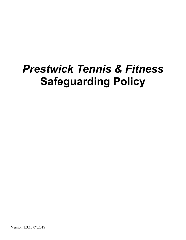# *Prestwick Tennis & Fitness* **Safeguarding Policy**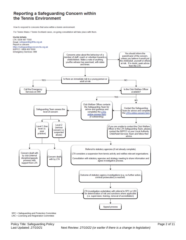### Reporting a Safeguarding Concern within the Tennis Environment

How to respond to concerns that arise within a tennis environment.

For Tennis Wales / Tennis Scotland cases, on-going consultation will take place with them.



SPC = Safeguarding and Protection Committee LRC = Licensing and Registration Committee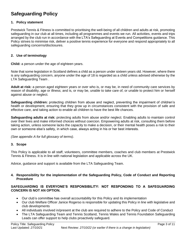## **Safeguarding Policy**

#### **1. Policy statement**

Prestwick Tennis & Fitness is committed to prioritising the well-being of all children and adults at risk, promoting safeguarding in our club at all times, including all programmes and events we run. All activities, events and trips arranged by the club run in accordance with the LTA's Safeguarding at Events and Competitions guidance. This Policy strives to minimise risk, deliver a positive tennis experience for everyone and respond appropriately to all safeguarding concerns/disclosures.

#### **2. Use of terminology**

**Child:** a person under the age of eighteen years.

Note that some legislation in Scotland defines a child as a person under sixteen years old. However, where there is any safeguarding concern, anyone under the age of 18 is regarded as a child unless advised otherwise by the LTA Safeguarding Team .

**Adult at risk:** a person aged eighteen years or over who is, or may be, in need of community care services by reason of disability, age or illness; and is, or may be, unable to take care of, or unable to protect him or herself against abuse or neglect.

**Safeguarding children:** protecting children from abuse and neglect, preventing the impairment of children's health or development, ensuring that they grow up in circumstances consistent with the provision of safe and effective care, and taking action to enable all children to have the best life chances.

**Safeguarding adults at risk:** protecting adults from abuse and/or neglect. Enabling adults to maintain control over their lives and make informed choices without coercion. Empowering adults at risk, consulting them before taking action, unless someone lacks the capacity to make a decision, or their mental health poses a risk to their own or someone else's safety, in which case, always acting in his or her best interests.

*(See appendix A for full glossary of terms)*.

#### **3. Scope**

This Policy is applicable to all staff, volunteers, committee members, coaches and club members at Prestwick Tennis & Fitness. It is in line with national legislation and applicable across the UK.

Advice, guidance and support is available from the LTA Safeguarding Team.

#### **4. Responsibility for the implementation of the Safeguarding Policy, Code of Conduct and Reporting Procedure**

#### **SAFEGUARDING IS EVERYONE'S RESPONSIBILITY: NOT RESPONDING TO A SAFEGUARDING CONCERN IS NOT AN OPTION.**

- Our club's committee has overall accountability for this Policy and its implementation
- Our club Welfare Officer Janice Rogerso is responsible for updating this Policy in line with legislative and club developments
- All individuals involved in/present at the club are required to adhere to the Policy and Code of Conduct
- The LTA Safeguarding Team and Tennis Scotland, Tennis Wales and Tennis Foundation Safeguarding Leads can offer support to help clubs proactively safeguard.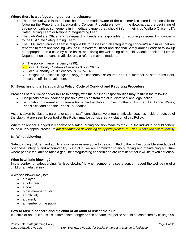#### **Where there is a safeguarding concern/disclosure:**

- The individual who is told about, hears, or is made aware of the concern/disclosure is responsible for following the Reporting a Safeguarding Concern Procedure shown in the flowchart at the beginning of this policy. Unless someone is in immediate danger, they should inform their club Welfare Officer, LTA Safeguarding Team or National Safeguarding Lead.
- The club Welfare Officer and Safeguarding Leads are responsible for reporting safeguarding concerns to the LTA Safe Safeguarding Team.
- The LTA Safeguarding Team is responsible for assessing all safeguarding concern/disclosures that are reported to them and working with the club Welfare Officer and National Safeguarding Leads to follow up as appropriate on a case-by-case basis, prioritising the well-being of the child/ adult at risk at all times. Dependent on the concern/disclosure, a referral may be made to:
	- o The police in an emergency (999);
	- **o** Local Authority Children's Services 01292 267675
	- o Local Authority Adult Services *01292 616102*
	- o Designated Officer (England only) for concerns/disclosures about a member of staff, consultant, coach, official or volunteer*.*

#### **5. Breaches of the Safeguarding Policy, Code of Conduct and Reporting Procedure**

Breaches of this Policy and/or failure to comply with the outlined responsibilities may result in the following:

- Disciplinary action leading to possible exclusion from the club, dismissal and legal action
- Termination of current and future roles within the club and roles in other clubs, the LTA, Tennis Wales, Tennis Scotland and the Tennis Foundation*.*

Actions taken by players, parents or carers, staff, consultants, volunteers, officials, coaches inside or outside of the club that are seen to contradict this Policy may be considered a violation of this Policy.

Where an appeal is lodged in response to a safeguarding decision made by the club, the individual should adhere to the club's appeal procedure *[for guidance on developing an appeal procedure – see [What's the Score toolkit\]](http://www.lta.org.uk/safeguarding)*.

#### **6. Whistleblowing**

Safeguarding children and adults at risk requires everyone to be committed to the highest possible standards of openness, integrity and accountability. As a club, we are committed to encouraging and maintaining a culture where people feel able to raise a genuine safeguarding concern and are confident that it will be taken seriously.

#### **What is whistle blowing?**

In the context of safeguarding, "whistle blowing" is when someone raises a concern about the well-being of a child or an adult at risk.

A whistle blower may be:

- a player;
- a volunteer:
- a coach:
- other member of staff;
- an official;
- a parent;
- a member of the public.

#### **How to raise a concern about a child or an adult at risk at the club**

If a child or an adult at risk is in immediate danger or risk of harm, the police should be contacted by calling 999.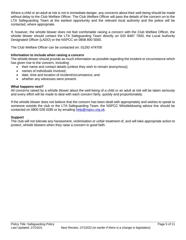Where a child or an adult at risk is not in immediate danger, any concerns about their well-being should be made without delay to the Club Welfare Officer. The Club Welfare Officer will pass the details of the concern on to the LTA Safeguarding Team at the earliest opportunity and the relevant local authority and the police will be contacted, where appropriate.

If, however, the whistle blower does not feel comfortable raising a concern with the Club Welfare Officer, the whistle blower should contact the LTA Safeguarding Team directly on 020 8487 7000, the Local Authority Designated Officer (LADO) or the NSPCC on 0808 800 5000.

The Club Welfare Officer can be contacted on: *01292 474700*

#### **Information to include when raising a concern**

The whistle blower should provide as much information as possible regarding the incident or circumstance which has given rise to the concern, including:

- their name and contact details (unless they wish to remain anonymous);
- names of individuals involved;
- date, time and location of incident/circumstance; and
- whether any witnesses were present.

#### **What happens next?**

All concerns raised by a whistle blower about the well-being of a child or an adult at risk will be taken seriously and every effort will be made to deal with each concern fairly, quickly and proportionately.

If the whistle blower does not believe that the concern has been dealt with appropriately and wishes to speak to someone outside the club or the LTA Safeguarding Team, the NSPCC Whistleblowing advice line should be contacted on 0800 028 0285 or by emailing [help@nspcc.org.uk.](mailto:help@nspcc.org.uk)

#### **Support**

The club will not tolerate any harassment, victimisation or unfair treatment of, and will take appropriate action to protect, whistle blowers when they raise a concern in good faith.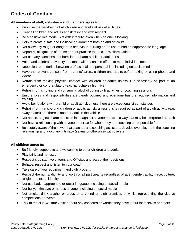# **Codes of Conduct**

#### **All members of staff, volunteers and members agree to:**

- Prioritise the well-being of all children and adults at risk at all times
- Treat all children and adults at risk fairly and with respect
- Be a positive role model. Act with integrity, even when no one is looking
- Help to create a safe and inclusive environment both on and off court
- Not allow any rough or dangerous behaviour, bullying or the use of bad or inappropriate language
- Report all allegations of abuse or poor practice to the club Welfare Officer
- Not use any sanctions that humiliate or harm a child or adult at risk
- Value and celebrate diversity and make all reasonable efforts to meet individual needs
- Keep clear boundaries between professional and personal life, including on social media
- Have the relevant consent from parents/carers, children and adults before taking or using photos and videos
- Refrain from making physical contact with children or adults unless it is necessary as part of an emergency or congratulatory (e.g. handshake / high five)
- Refrain from smoking and consuming alcohol during club activities or coaching sessions
- Ensure roles and responsibilities are clearly outlined and everyone has the required information and training
- Avoid being alone with a child or adult at risk unless there are exceptional circumstances
- Refrain from transporting children or adults at risk, unless this is required as part of a club activity (e.g. away match) and there is another adult in the vehicle
- Not abuse, neglect, harm or discriminate against anyone; or act in a way that may be interpreted as such
- Not have a relationship with anyone under 18 for whom they are coaching or responsible for
- Be acutely aware of the power that coaches and coaching assistants develop over players in the coaching relationship and avoid any intimacy (sexual or otherwise) with players

#### **All children agree to:**

- Be friendly, supportive and welcoming to other children and adults
- Play fairly and honestly
- Respect club staff, volunteers and Officials and accept their decisions
- Behave, respect and listen to your coach
- Take care of your equipment and club property
- Respect the rights, dignity and worth of all participants regardless of age, gender, ability, race, culture, religion or sexual identity
- Not use bad, inappropriate or racist language, including on social media
- Not bully, intimidate or harass anyone, including on social media
- Not smoke, drink alcohol or drugs of any kind on club premises or whilst representing the club at competitions or events
- Talk to the club Welfare Officer about any concerns or worries they have about themselves or others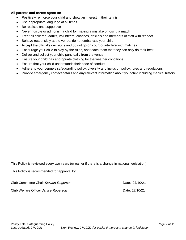#### **All parents and carers agree to:**

- Positively reinforce your child and show an interest in their tennis
- Use appropriate language at all times
- Be realistic and supportive
- Never ridicule or admonish a child for making a mistake or losing a match
- Treat all children, adults, volunteers, coaches, officials and members of staff with respect
- Behave responsibly at the venue; do not embarrass your child
- Accept the official's decisions and do not go on court or interfere with matches
- Encourage your child to play by the rules, and teach them that they can only do their best
- Deliver and collect your child punctually from the venue
- Ensure your child has appropriate clothing for the weather conditions
- Ensure that your child understands their code of conduct
- Adhere to your venue's safeguarding policy, diversity and inclusion policy, rules and regulations
- Provide emergency contact details and any relevant information about your child including medical history

This Policy is reviewed every two years (or earlier if there is a change in national legislation).

This Policy is recommended for approval by:

| Club Committee Chair Stewart Rogerson | Date: 27/10/21 |
|---------------------------------------|----------------|
| Club Welfare Officer Janice Rogerson  | Date: 27/10/21 |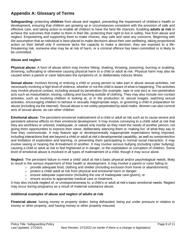## **Appendix A: Glossary of Terms**

**Safeguarding:** protecting **children** from abuse and neglect, preventing the impairment of children's health or development, ensuring that children are growing up in circumstances consistent with the provision of safe and effective care, and taking action to enable all children to have the best life chances. Enabling **adults at risk** to achieve the outcomes that matter to them in their life; protecting their right to live in safety, free from abuse and neglect. Empowering and supporting them to make choices, stay safe and raise any concerns. Beginning with the assumption that an individual is best-placed to make decisions about their own wellbeing, taking proportional action on their behalf only if someone lacks the capacity to make a decision, they are exposed to a lifethreatening risk, someone else may be at risk of harm, or a criminal offence has been committed or is likely to be committed.

#### **Abuse and neglect**

**Physical abuse:** A form of abuse which may involve hitting, shaking, throwing, poisoning, burning or scalding, drowning, suffocating or otherwise causing physical harm to a child or adult at risk. Physical harm may also be caused when a parent or carer fabricates the symptoms of, or deliberately induces illness

**Sexual abuse:** Involves forcing or enticing a child or young person to take part in abuse sexual activities, not necessarily involving a high level of violence, whether or not the child is aware of what is happening. The activities may involve physical contact, including assault by penetration (for example, rape or oral sex) or non-penetrative acts such as masturbation, kissing, rubbing and touching outside of clothing. They may also include non-contact activities, such as involving children in looking at, or in the production of, sexual images, watching sexual activities, encouraging children to behave in sexually inappropriate ways, or grooming a child in preparation for abuse (including via the internet). Sexual abuse is not solely perpetrated by adult males. Women can also commit acts of sexual abuse, as can other children

**Emotional abuse:** The persistent emotional maltreatment of a child or adult at risk such as to cause severe and persistent adverse effects on their emotional development. It may involve conveying to a child/ adult at risk that they are worthless or unloved, inadequate, or valued only insofar as they meet the needs of another person; not giving them opportunities to express their views; deliberately silencing them or 'making fun' of what they say or how they communicate. It may feature age or developmentally inappropriate expectations being imposed, including interactions that are beyond a child or adult at risk's developmental capability, as well as overprotection and limitation of exploration and learning, or preventing them participating in normal social interaction. It may involve seeing or hearing the ill-treatment of another. It may involve serious bullying (including cyber bullying), causing a child or adult at risk to feel frightened or in danger, or the exploitation or corruption of children. Some level of emotional abuse is involved in all types of maltreatment of a child, though it may occur alone.

**Neglect:** The persistent failure to meet a child/ adult at risk's basic physical and/or psychological needs, likely to result in the serious impairment of their health or development. It may involve a parent or carer failing to:

- $\circ$  provide adequate food, clothing and shelter (including exclusion from home or abandonment);
- $\circ$  protect a child/ adult at risk from physical and emotional harm or danger;
- $\circ$  ensure adequate supervision (including the use of inadequate care-givers); or
- o ensure access to appropriate medical care or treatment.

It may also include neglect of, or unresponsiveness to, a child's or adult at risk's basic emotional needs. Neglect may occur during pregnancy as a result of maternal substance abuse.

#### **Additional examples of abuse and neglect of adults at risk**

**Financial abuse**: having money or property stolen; being defrauded; being put under pressure in relation to money or other property; and having money or other property misused.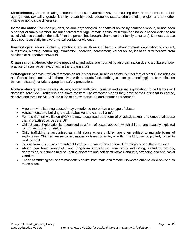**Discriminatory abuse**: treating someone in a less favourable way and causing them harm, because of their age, gender, sexuality, gender identity, disability, socio-economic status, ethnic origin, religion and any other visible or non-visible difference.

**Domestic abuse**: includes physical, sexual, psychological or financial abuse by someone who is, or has been a partner or family member. Includes forced marriage, female genital mutilation and honour-based violence (an act of violence based on the belief that the person has brought shame on their family or culture). Domestic abuse does not necessarily involve physical contact or violence.

**Psychological abuse:** including emotional abuse, threats of harm or abandonment, deprivation of contact, humiliation, blaming, controlling, intimidation, coercion, harassment, verbal abuse, isolation or withdrawal from services or supportive networks.

**Organisational abuse**: where the needs of an individual are not met by an organisation due to a culture of poor practice or abusive behaviour within the organisation.

**Self-neglect:** behaviour which threatens an adult's personal health or safety (but not that of others). Includes an adult's decision to not provide themselves with adequate food, clothing, shelter, personal hygiene, or medication (when indicated), or take appropriate safety precautions

**Modern slavery**: encompasses slavery, human trafficking, criminal and sexual exploitation, forced labour and domestic servitude. Traffickers and slave masters use whatever means they have at their disposal to coerce, deceive and force individuals into a life of abuse, servitude and inhumane treatment.

- A person who is being abused may experience more than one type of abuse
- Harassment, and bullying are also abusive and can be harmful
- Female Genital Mutilation (FGM) is now recognised as a form of physical, sexual and emotional abuse that is practised across the UK
- Child Sexual Exploitation is recognised as a form of sexual abuse in which children are sexually exploited for money, power or status
- Child trafficking is recognised as child abuse where children are often subject to multiple forms of exploitation. Children are recruited, moved or transported to, or within the UK, then exploited, forced to work or sold
- People from all cultures are subject to abuse. It cannot be condoned for religious or cultural reasons
- Abuse can have immediate and long-term impacts on someone's well-being, including anxiety, depression, substance misuse, eating disorders and self-destructive Conducts, offending and anti-social **Conduct**
- Those committing abuse are most often adults, both male and female. However, child-to-child abuse also takes place.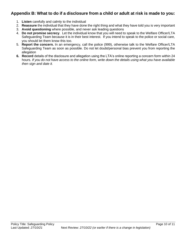## **Appendix B: What to do if a disclosure from a child or adult at risk is made to you:**

- 1. **Listen** carefully and calmly to the individual
- 2. **Reassure** the individual that they have done the right thing and what they have told you is very important
- 3. **Avoid questioning** where possible, and never ask leading questions
- 4. **Do not promise secrecy**. Let the individual know that you will need to speak to the Welfare Officer/LTA Safeguarding Team because it is in their best interest. If you intend to speak to the police or social care, you should let them know this too.
- 5. **Report the concern.** In an emergency, call the police (999), otherwise talk to the Welfare Officer/LTA Safeguarding Team as soon as possible. Do not let doubt/personal bias prevent you from reporting the allegation
- **6. Record** details of the disclosure and allegation using the LTA's online reporting a concern form within 24 hours*. If you do not have access to the online form, write down the details using what you have available then sign and date it.*